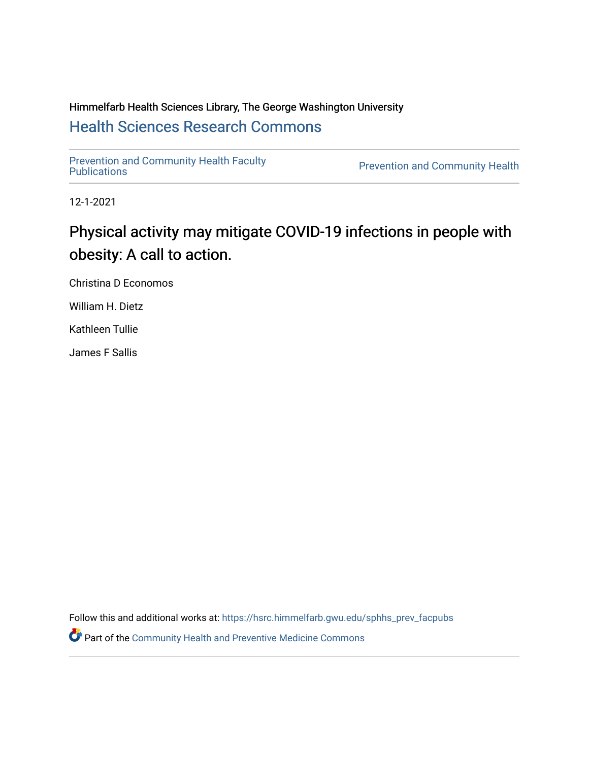# Himmelfarb Health Sciences Library, The George Washington University [Health Sciences Research Commons](https://hsrc.himmelfarb.gwu.edu/)

[Prevention and Community Health Faculty](https://hsrc.himmelfarb.gwu.edu/sphhs_prev_facpubs) 

Prevention and Community Health

12-1-2021

# Physical activity may mitigate COVID-19 infections in people with obesity: A call to action.

Christina D Economos

William H. Dietz

Kathleen Tullie

James F Sallis

Follow this and additional works at: [https://hsrc.himmelfarb.gwu.edu/sphhs\\_prev\\_facpubs](https://hsrc.himmelfarb.gwu.edu/sphhs_prev_facpubs?utm_source=hsrc.himmelfarb.gwu.edu%2Fsphhs_prev_facpubs%2F871&utm_medium=PDF&utm_campaign=PDFCoverPages) 

Part of the [Community Health and Preventive Medicine Commons](http://network.bepress.com/hgg/discipline/744?utm_source=hsrc.himmelfarb.gwu.edu%2Fsphhs_prev_facpubs%2F871&utm_medium=PDF&utm_campaign=PDFCoverPages)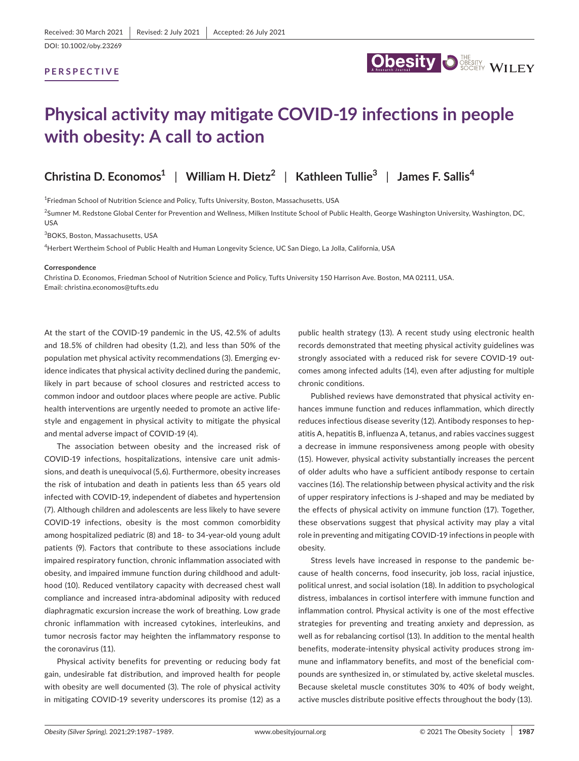## **PERSPECTIVE**



# **Physical activity may mitigate COVID-19 infections in people with obesity: A call to action**

# **Christina D. Economos1** | **William H. Dietz2** | **Kathleen Tullie3** | **James F. Sallis<sup>4</sup>**

<sup>1</sup>Friedman School of Nutrition Science and Policy, Tufts University, Boston, Massachusetts, USA

<sup>2</sup>Sumner M. Redstone Global Center for Prevention and Wellness, Milken Institute School of Public Health, George Washington University, Washington, DC, USA

3 BOKS, Boston, Massachusetts, USA

4 Herbert Wertheim School of Public Health and Human Longevity Science, UC San Diego, La Jolla, California, USA

#### **Correspondence**

Christina D. Economos, Friedman School of Nutrition Science and Policy, Tufts University 150 Harrison Ave. Boston, MA 02111, USA. Email: [christina.economos@tufts.edu](mailto:christina.economos@tufts.edu)

At the start of the COVID-19 pandemic in the US, 42.5% of adults and 18.5% of children had obesity (1,2), and less than 50% of the population met physical activity recommendations (3). Emerging evidence indicates that physical activity declined during the pandemic, likely in part because of school closures and restricted access to common indoor and outdoor places where people are active. Public health interventions are urgently needed to promote an active lifestyle and engagement in physical activity to mitigate the physical and mental adverse impact of COVID-19 (4).

The association between obesity and the increased risk of COVID-19 infections, hospitalizations, intensive care unit admissions, and death is unequivocal (5,6). Furthermore, obesity increases the risk of intubation and death in patients less than 65 years old infected with COVID-19, independent of diabetes and hypertension (7). Although children and adolescents are less likely to have severe COVID-19 infections, obesity is the most common comorbidity among hospitalized pediatric (8) and 18- to 34-year-old young adult patients (9). Factors that contribute to these associations include impaired respiratory function, chronic inflammation associated with obesity, and impaired immune function during childhood and adulthood (10). Reduced ventilatory capacity with decreased chest wall compliance and increased intra-abdominal adiposity with reduced diaphragmatic excursion increase the work of breathing. Low grade chronic inflammation with increased cytokines, interleukins, and tumor necrosis factor may heighten the inflammatory response to the coronavirus (11).

Physical activity benefits for preventing or reducing body fat gain, undesirable fat distribution, and improved health for people with obesity are well documented (3). The role of physical activity in mitigating COVID-19 severity underscores its promise (12) as a

public health strategy (13). A recent study using electronic health records demonstrated that meeting physical activity guidelines was strongly associated with a reduced risk for severe COVID-19 outcomes among infected adults (14), even after adjusting for multiple chronic conditions.

Published reviews have demonstrated that physical activity enhances immune function and reduces inflammation, which directly reduces infectious disease severity (12). Antibody responses to hepatitis A, hepatitis B, influenza A, tetanus, and rabies vaccines suggest a decrease in immune responsiveness among people with obesity (15). However, physical activity substantially increases the percent of older adults who have a sufficient antibody response to certain vaccines (16). The relationship between physical activity and the risk of upper respiratory infections is J-shaped and may be mediated by the effects of physical activity on immune function (17). Together, these observations suggest that physical activity may play a vital role in preventing and mitigating COVID-19 infections in people with obesity.

Stress levels have increased in response to the pandemic because of health concerns, food insecurity, job loss, racial injustice, political unrest, and social isolation (18). In addition to psychological distress, imbalances in cortisol interfere with immune function and inflammation control. Physical activity is one of the most effective strategies for preventing and treating anxiety and depression, as well as for rebalancing cortisol (13). In addition to the mental health benefits, moderate-intensity physical activity produces strong immune and inflammatory benefits, and most of the beneficial compounds are synthesized in, or stimulated by, active skeletal muscles. Because skeletal muscle constitutes 30% to 40% of body weight, active muscles distribute positive effects throughout the body (13).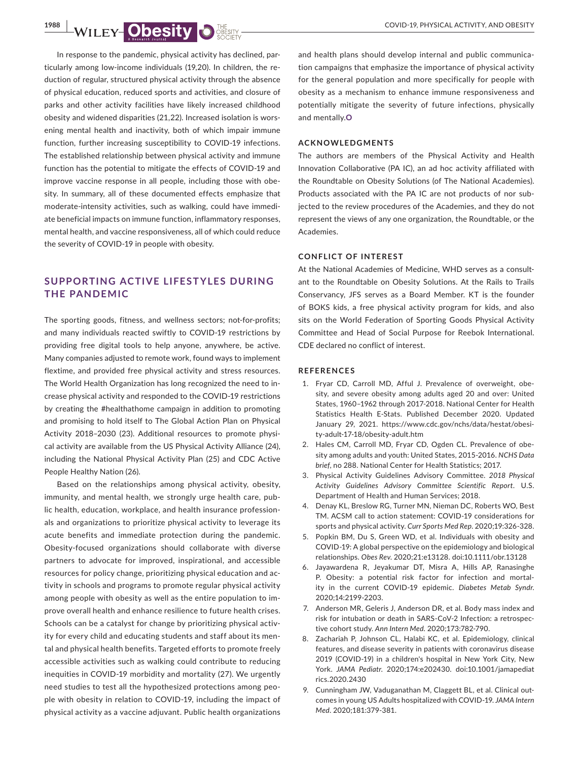**1988 MILEY-ODESITY DESITY AND OBESITY** 

In response to the pandemic, physical activity has declined, particularly among low-income individuals (19,20). In children, the reduction of regular, structured physical activity through the absence of physical education, reduced sports and activities, and closure of parks and other activity facilities have likely increased childhood obesity and widened disparities (21,22). Increased isolation is worsening mental health and inactivity, both of which impair immune function, further increasing susceptibility to COVID-19 infections. The established relationship between physical activity and immune function has the potential to mitigate the effects of COVID-19 and improve vaccine response in all people, including those with obesity. In summary, all of these documented effects emphasize that moderate-intensity activities, such as walking, could have immediate beneficial impacts on immune function, inflammatory responses, mental health, and vaccine responsiveness, all of which could reduce the severity of COVID-19 in people with obesity.

# **SUPPORTING AC TIVE LIFEST YLES DURING THE PANDEMIC**

The sporting goods, fitness, and wellness sectors; not-for-profits; and many individuals reacted swiftly to COVID-19 restrictions by providing free digital tools to help anyone, anywhere, be active. Many companies adjusted to remote work, found ways to implement flextime, and provided free physical activity and stress resources. The World Health Organization has long recognized the need to increase physical activity and responded to the COVID-19 restrictions by creating the [#healthathome campaign](https://www.who.int/campaigns/connecting-the-world-to-combat-coronavirus/healthyathome) in addition to promoting and promising to hold itself to The Global Action Plan on Physical Activity 2018–2030 (23). Additional resources to promote physical activity are available from the US Physical Activity Alliance (24), including the National Physical Activity Plan (25) and CDC Active People Healthy Nation (26).

Based on the relationships among physical activity, obesity, immunity, and mental health, we strongly urge health care, public health, education, workplace, and health insurance professionals and organizations to prioritize physical activity to leverage its acute benefits and immediate protection during the pandemic. Obesity-focused organizations should collaborate with diverse partners to advocate for improved, inspirational, and accessible resources for policy change, prioritizing physical education and activity in schools and programs to promote regular physical activity among people with obesity as well as the entire population to improve overall health and enhance resilience to future health crises. Schools can be a catalyst for change by prioritizing physical activity for every child and educating students and staff about its mental and physical health benefits. Targeted efforts to promote freely accessible activities such as walking could contribute to reducing inequities in COVID-19 morbidity and mortality (27). We urgently need studies to test all the hypothesized protections among people with obesity in relation to COVID-19, including the impact of physical activity as a vaccine adjuvant. Public health organizations

and health plans should develop internal and public communication campaigns that emphasize the importance of physical activity for the general population and more specifically for people with obesity as a mechanism to enhance immune responsiveness and potentially mitigate the severity of future infections, physically and mentally.**O**

## **ACKNOWLEDGMENTS**

The authors are members of the Physical Activity and Health Innovation Collaborative (PA IC), an ad hoc activity affiliated with the Roundtable on Obesity Solutions (of The National Academies). Products associated with the PA IC are not products of nor subjected to the review procedures of the Academies, and they do not represent the views of any one organization, the Roundtable, or the Academies.

### **CONFLICT OF INTEREST**

At the National Academies of Medicine, WHD serves as a consultant to the Roundtable on Obesity Solutions. At the Rails to Trails Conservancy, JFS serves as a Board Member. KT is the founder of BOKS kids, a free physical activity program for kids, and also sits on the World Federation of Sporting Goods Physical Activity Committee and Head of Social Purpose for Reebok International. CDE declared no conflict of interest.

### **REFERENCES**

- 1. Fryar CD, Carroll MD, Afful J. Prevalence of overweight, obesity, and severe obesity among adults aged 20 and over: United States, 1960–1962 through 2017-2018. National Center for Health Statistics Health E-Stats. Published December 2020. Updated January 29, 2021. https://www.cdc.gov/nchs/data/hestat/obesity-adult-17-18/obesity-adult.htm
- 2. Hales CM, Carroll MD, Fryar CD, Ogden CL. Prevalence of obesity among adults and youth: United States, 2015-2016. *NCHS Data brief*, no 288. National Center for Health Statistics; 2017.
- 3. Physical Activity Guidelines Advisory Committee. *2018 Physical Activity Guidelines Advisory Committee Scientific Report*. U.S. Department of Health and Human Services; 2018.
- 4. Denay KL, Breslow RG, Turner MN, Nieman DC, Roberts WO, Best TM. ACSM call to action statement: COVID-19 considerations for sports and physical activity. *Curr Sports Med Rep*. 2020;19:326-328.
- 5. Popkin BM, Du S, Green WD, et al. Individuals with obesity and COVID-19: A global perspective on the epidemiology and biological relationships. *Obes Rev*. 2020;21:e13128. doi[:10.1111/obr.13128](https://doi.org/10.1111/obr.13128)
- 6. Jayawardena R, Jeyakumar DT, Misra A, Hills AP, Ranasinghe P. Obesity: a potential risk factor for infection and mortality in the current COVID-19 epidemic. *Diabetes Metab Syndr*. 2020;14:2199-2203.
- 7. Anderson MR, Geleris J, Anderson DR, et al. Body mass index and risk for intubation or death in SARS-CoV-2 Infection: a retrospective cohort study. *Ann Intern Med*. 2020;173:782-790.
- 8. Zachariah P, Johnson CL, Halabi KC, et al. Epidemiology, clinical features, and disease severity in patients with coronavirus disease 2019 (COVID-19) in a children's hospital in New York City, New York. *JAMA Pediatr*. 2020;174:e202430. doi[:10.1001/jamapediat](https://doi.org/10.1001/jamapediatrics.2020.2430) [rics.2020.2430](https://doi.org/10.1001/jamapediatrics.2020.2430)
- 9. Cunningham JW, Vaduganathan M, Claggett BL, et al. Clinical outcomes in young US Adults hospitalized with COVID-19. *JAMA Intern Med*. 2020;181:379-381.